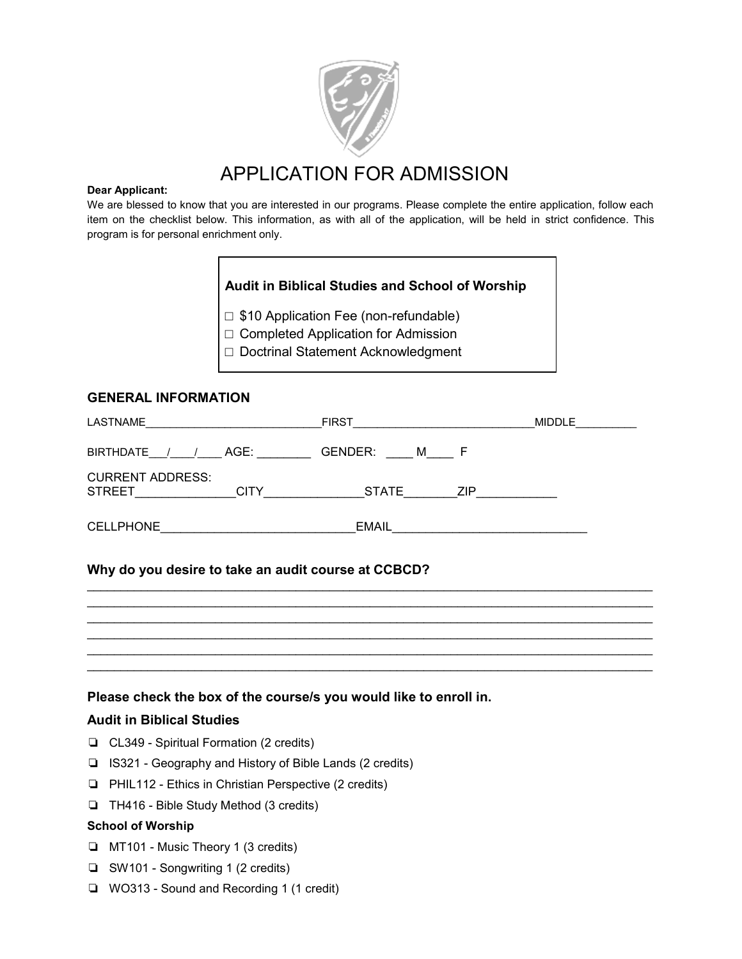

## APPLICATION FOR ADMISSION

#### **Dear Applicant:**

We are blessed to know that you are interested in our programs. Please complete the entire application, follow each item on the checklist below. This information, as with all of the application, will be held in strict confidence. This program is for personal enrichment only.

## **Audit in Biblical Studies and School of Worship**

□ \$10 Application Fee (non-refundable)

□ Completed Application for Admission

□ Doctrinal Statement Acknowledgment

## **GENERAL INFORMATION**

| LASTNAME                                                | <b>FIRST</b>        | <b>MIDDLE</b> |
|---------------------------------------------------------|---------------------|---------------|
| <b>BIRTHDATE</b><br>AGE:                                | GENDER:<br>м        |               |
| <b>CURRENT ADDRESS:</b><br><b>STREET</b><br><b>CITY</b> | <b>STATE</b><br>ZIP |               |
| <b>CELLPHONE</b>                                        | <b>EMAIL</b>        |               |

 $\mathcal{L}_\text{max}$  , and the contribution of the contribution of the contribution of the contribution of the contribution of the contribution of the contribution of the contribution of the contribution of the contribution of t  $\mathcal{L}_\text{max}$  , and the contribution of the contribution of the contribution of the contribution of the contribution of the contribution of the contribution of the contribution of the contribution of the contribution of t  $\mathcal{L}_\text{max}$  , and the contribution of the contribution of the contribution of the contribution of the contribution of the contribution of the contribution of the contribution of the contribution of the contribution of t  $\mathcal{L}_\text{max}$  , and the contribution of the contribution of the contribution of the contribution of the contribution of the contribution of the contribution of the contribution of the contribution of the contribution of t  $\mathcal{L}_\text{max}$  , and the contribution of the contribution of the contribution of the contribution of the contribution of the contribution of the contribution of the contribution of the contribution of the contribution of t  $\mathcal{L}_\text{max}$  , and the contribution of the contribution of the contribution of the contribution of the contribution of the contribution of the contribution of the contribution of the contribution of the contribution of t

## **Why do you desire to take an audit course at CCBCD?**

## **Please check the box of the course/s you would like to enroll in.**

### **Audit in Biblical Studies**

- ❏ CL349 Spiritual Formation (2 credits)
- ❏ IS321 Geography and History of Bible Lands (2 credits)
- ❏ PHIL112 Ethics in Christian Perspective (2 credits)
- ❏ TH416 Bible Study Method (3 credits)

## **School of Worship**

- ❏ MT101 Music Theory 1 (3 credits)
- ❏ SW101 Songwriting 1 (2 credits)
- ❏ WO313 Sound and Recording 1 (1 credit)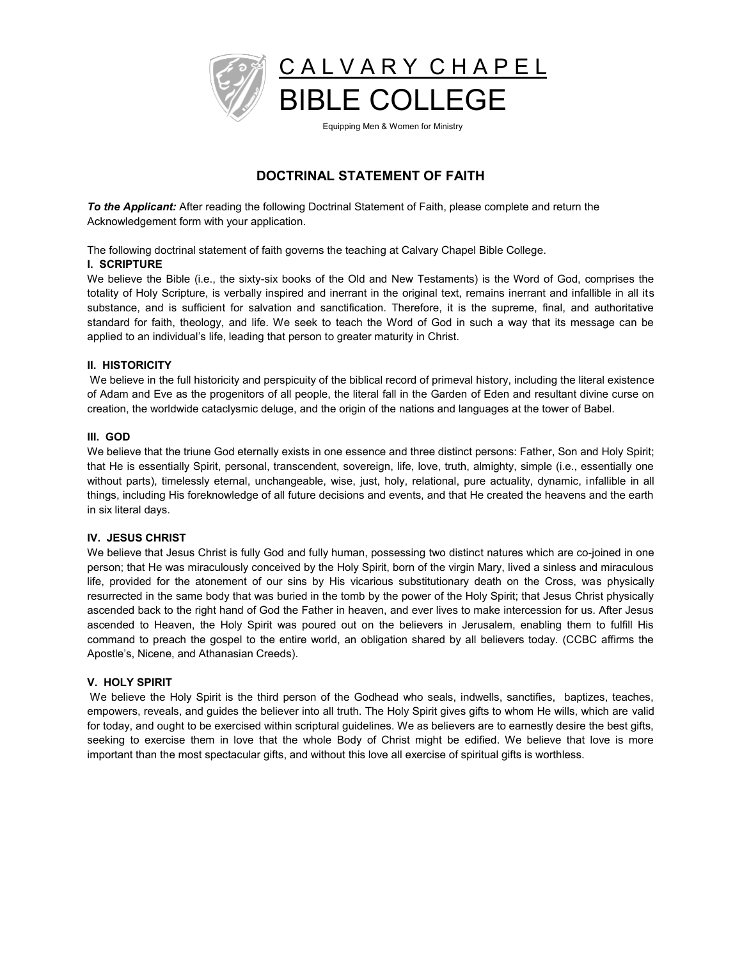

# **DOCTRINAL STATEMENT OF FAITH**

*To the Applicant:* After reading the following Doctrinal Statement of Faith, please complete and return the Acknowledgement form with your application.

The following doctrinal statement of faith governs the teaching at Calvary Chapel Bible College.

#### **I. SCRIPTURE**

We believe the Bible (i.e., the sixty-six books of the Old and New Testaments) is the Word of God, comprises the totality of Holy Scripture, is verbally inspired and inerrant in the original text, remains inerrant and infallible in all its substance, and is sufficient for salvation and sanctification. Therefore, it is the supreme, final, and authoritative standard for faith, theology, and life. We seek to teach the Word of God in such a way that its message can be applied to an individual's life, leading that person to greater maturity in Christ.

#### **II. HISTORICITY**

We believe in the full historicity and perspicuity of the biblical record of primeval history, including the literal existence of Adam and Eve as the progenitors of all people, the literal fall in the Garden of Eden and resultant divine curse on creation, the worldwide cataclysmic deluge, and the origin of the nations and languages at the tower of Babel.

#### **III. GOD**

We believe that the triune God eternally exists in one essence and three distinct persons: Father, Son and Holy Spirit; that He is essentially Spirit, personal, transcendent, sovereign, life, love, truth, almighty, simple (i.e., essentially one without parts), timelessly eternal, unchangeable, wise, just, holy, relational, pure actuality, dynamic, infallible in all things, including His foreknowledge of all future decisions and events, and that He created the heavens and the earth in six literal days.

#### **IV. JESUS CHRIST**

We believe that Jesus Christ is fully God and fully human, possessing two distinct natures which are co-joined in one person; that He was miraculously conceived by the Holy Spirit, born of the virgin Mary, lived a sinless and miraculous life, provided for the atonement of our sins by His vicarious substitutionary death on the Cross, was physically resurrected in the same body that was buried in the tomb by the power of the Holy Spirit; that Jesus Christ physically ascended back to the right hand of God the Father in heaven, and ever lives to make intercession for us. After Jesus ascended to Heaven, the Holy Spirit was poured out on the believers in Jerusalem, enabling them to fulfill His command to preach the gospel to the entire world, an obligation shared by all believers today. (CCBC affirms the Apostle's, Nicene, and Athanasian Creeds).

#### **V. HOLY SPIRIT**

We believe the Holy Spirit is the third person of the Godhead who seals, indwells, sanctifies, baptizes, teaches, empowers, reveals, and guides the believer into all truth. The Holy Spirit gives gifts to whom He wills, which are valid for today, and ought to be exercised within scriptural guidelines. We as believers are to earnestly desire the best gifts, seeking to exercise them in love that the whole Body of Christ might be edified. We believe that love is more important than the most spectacular gifts, and without this love all exercise of spiritual gifts is worthless.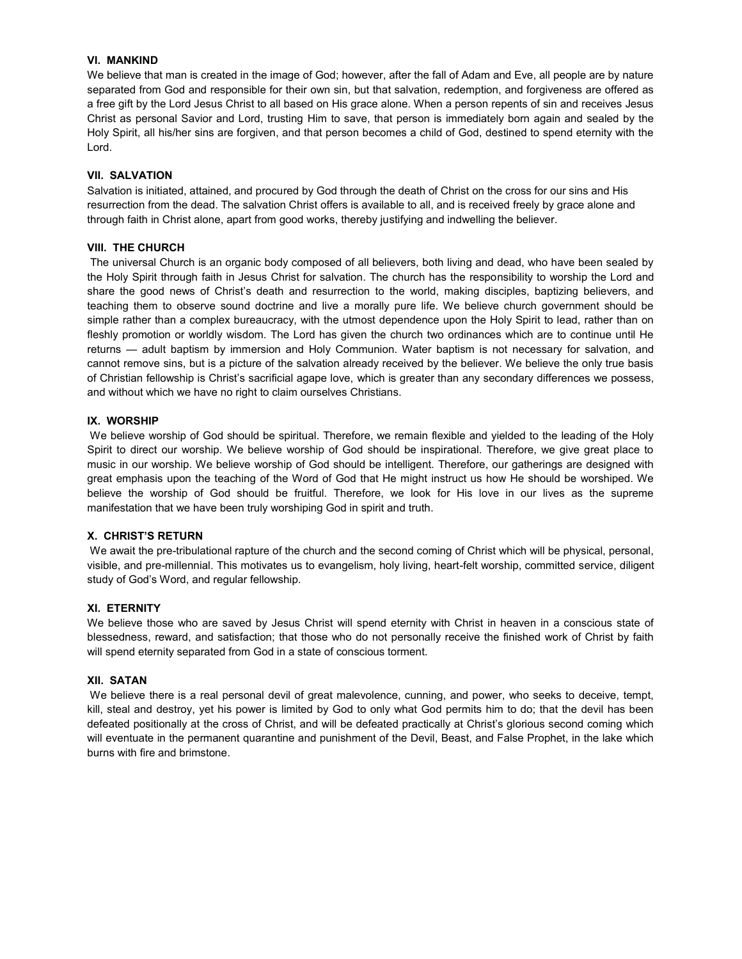#### **VI. MANKIND**

We believe that man is created in the image of God; however, after the fall of Adam and Eve, all people are by nature separated from God and responsible for their own sin, but that salvation, redemption, and forgiveness are offered as a free gift by the Lord Jesus Christ to all based on His grace alone. When a person repents of sin and receives Jesus Christ as personal Savior and Lord, trusting Him to save, that person is immediately born again and sealed by the Holy Spirit, all his/her sins are forgiven, and that person becomes a child of God, destined to spend eternity with the Lord.

#### **VII. SALVATION**

Salvation is initiated, attained, and procured by God through the death of Christ on the cross for our sins and His resurrection from the dead. The salvation Christ offers is available to all, and is received freely by grace alone and through faith in Christ alone, apart from good works, thereby justifying and indwelling the believer.

#### **VIII. THE CHURCH**

The universal Church is an organic body composed of all believers, both living and dead, who have been sealed by the Holy Spirit through faith in Jesus Christ for salvation. The church has the responsibility to worship the Lord and share the good news of Christ's death and resurrection to the world, making disciples, baptizing believers, and teaching them to observe sound doctrine and live a morally pure life. We believe church government should be simple rather than a complex bureaucracy, with the utmost dependence upon the Holy Spirit to lead, rather than on fleshly promotion or worldly wisdom. The Lord has given the church two ordinances which are to continue until He returns — adult baptism by immersion and Holy Communion. Water baptism is not necessary for salvation, and cannot remove sins, but is a picture of the salvation already received by the believer. We believe the only true basis of Christian fellowship is Christ's sacrificial agape love, which is greater than any secondary differences we possess, and without which we have no right to claim ourselves Christians.

#### **IX. WORSHIP**

We believe worship of God should be spiritual. Therefore, we remain flexible and yielded to the leading of the Holy Spirit to direct our worship. We believe worship of God should be inspirational. Therefore, we give great place to music in our worship. We believe worship of God should be intelligent. Therefore, our gatherings are designed with great emphasis upon the teaching of the Word of God that He might instruct us how He should be worshiped. We believe the worship of God should be fruitful. Therefore, we look for His love in our lives as the supreme manifestation that we have been truly worshiping God in spirit and truth.

#### **;. CHRI67¶6 RE78RN**

We await the pre-tribulational rapture of the church and the second coming of Christ which will be physical, personal, visible, and pre-millennial. This motivates us to evangelism, holy living, heart-felt worship, committed service, diligent study of God's Word, and regular fellowship.

#### **XI. ETERNITY**

We believe those who are saved by Jesus Christ will spend eternity with Christ in heaven in a conscious state of blessedness, reward, and satisfaction; that those who do not personally receive the finished work of Christ by faith will spend eternity separated from God in a state of conscious torment.

#### **XII. SATAN**

We believe there is a real personal devil of great malevolence, cunning, and power, who seeks to deceive, tempt, kill, steal and destroy, yet his power is limited by God to only what God permits him to do; that the devil has been defeated positionally at the cross of Christ, and will be defeated practically at Christ's glorious second coming which will eventuate in the permanent quarantine and punishment of the Devil, Beast, and False Prophet, in the lake which burns with fire and brimstone.